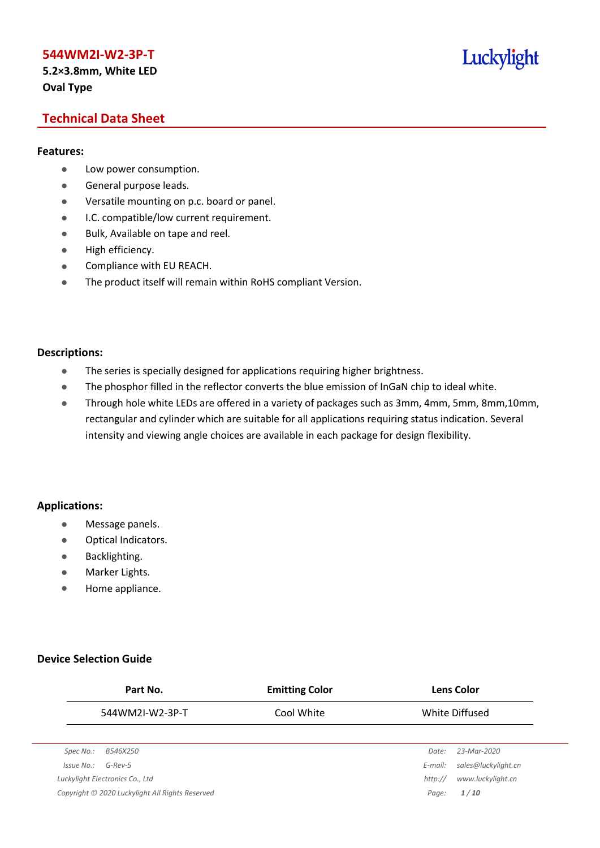# **5.2×3.8mm, White LED Oval Type**

# Luckylight

# **Technical Data Sheet**

#### **Features:**

- **•** Low power consumption.
- **General purpose leads.**
- Versatile mounting on p.c. board or panel.
- **I.C. compatible/low current requirement.**
- Bulk, Available on tape and reel.
- $\bullet$  High efficiency.
- **•** Compliance with EU REACH.
- The product itself will remain within RoHS compliant Version.

#### **Descriptions:**

- The series is specially designed for applications requiring higher brightness.
- The phosphor filled in the reflector converts the blue emission of InGaN chip to ideal white.
- Through hole white LEDs are offered in a variety of packages such as 3mm, 4mm, 5mm, 8mm,10mm, rectangular and cylinder which are suitable for all applications requiring status indication. Several intensity and viewing angle choices are available in each package for design flexibility.

## **Applications:**

- **•** Message panels.
- Optical Indicators.
- Backlighting.
- Marker Lights.
- **•** Home appliance.

## **Device Selection Guide**

|            | Part No.                                        | <b>Emitting Color</b> |         | <b>Lens Color</b>   |
|------------|-------------------------------------------------|-----------------------|---------|---------------------|
|            | 544WM2I-W2-3P-T                                 | Cool White            |         | White Diffused      |
|            |                                                 |                       |         |                     |
| Spec No.:  | B546X250                                        |                       | Date:   | 23-Mar-2020         |
| Issue No.: | $G$ -Rev-5                                      |                       | E-mail: | sales@luckylight.cn |
|            | Luckylight Electronics Co., Ltd                 |                       | http:// | www.luckylight.cn   |
|            | Copyright © 2020 Luckylight All Rights Reserved |                       | Page:   | 1/10                |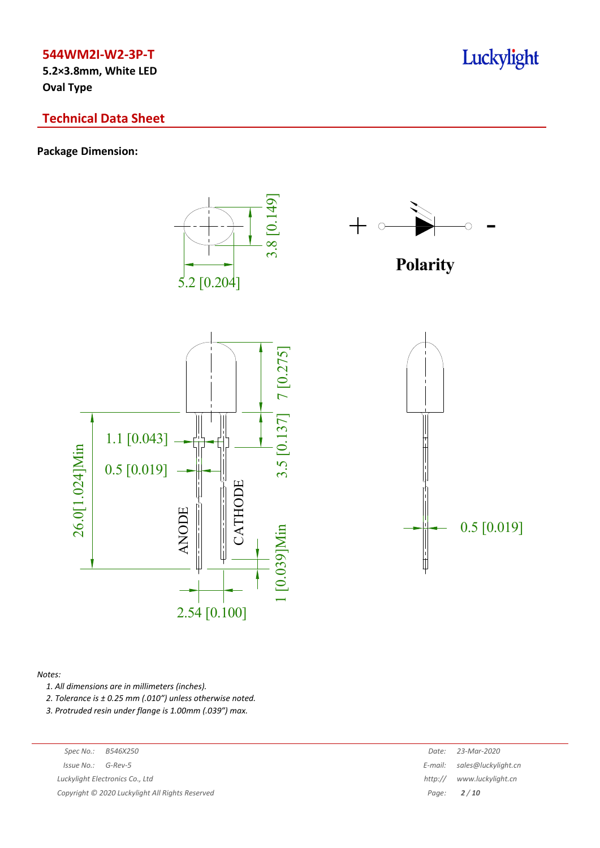**5.2×3.8mm, White LED Oval Type**

# **Technical Data Sheet**

# **Package Dimension:**



*Notes:*

*1. All dimensions are in millimeters (inches).*

*2. Tolerance is ± 0.25 mm (.010″) unless otherwise noted.*

*3. Protruded resin under flange is 1.00mm (.039″) max.*

| Spec No.: | B546X25 |
|-----------|---------|
|           |         |

 $Luckylight~Electronics~Co.,~Ltd$ 

*Copyright © 2020 Luckylight All Rights Reserved Page: 2 / 10*

| Spec No.:<br>B546X250                         | Date:   | 23-Mar-2020                 |
|-----------------------------------------------|---------|-----------------------------|
| 'ssue No.:<br>G-Rev-5                         |         | E-mail: sales@luckylight.cn |
| ckylight Electronics Co., Ltd                 | http:// | www.luckylight.cn           |
| pyright © 2020 Luckylight All Rights Reserved |         | Page: $2/10$                |

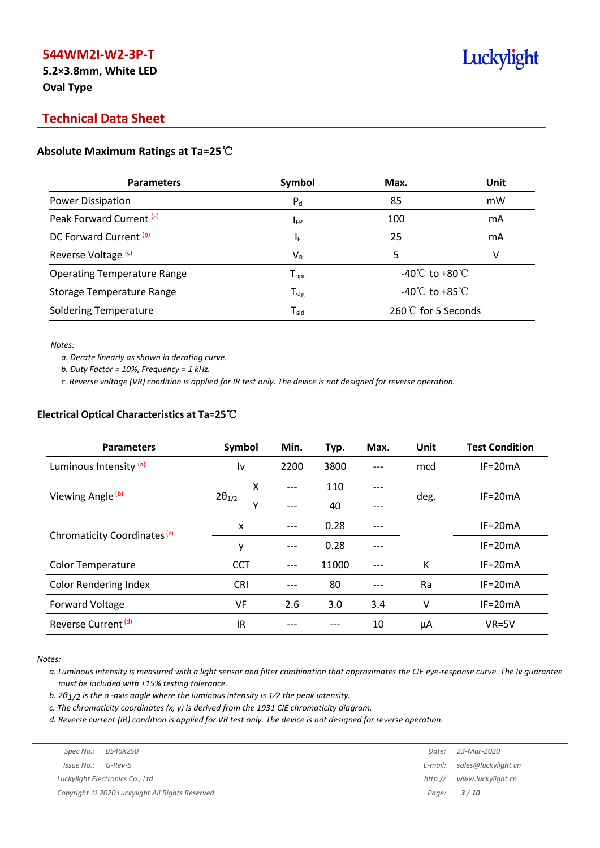**5.2×3.8mm, White LED Oval Type**

# **Technical Data Sheet**

## **Absolute Maximum Ratings at Ta=25**℃

| Symbol                       | Max.                                       | Unit |
|------------------------------|--------------------------------------------|------|
| $P_d$                        | 85                                         | mW   |
| <b>IFP</b>                   | 100                                        | mA   |
| ΙF                           | 25                                         | mA   |
| $\mathsf{V}_\mathsf{R}$      |                                            | V    |
| ${\mathsf T}_{\textsf{opr}}$ | -40 $\rm ^{\circ}C$ to +80 $\rm ^{\circ}C$ |      |
| ${\mathsf T}_{\text{stg}}$   | -40 $^{\circ}$ C to +85 $^{\circ}$ C       |      |
| $T_{\rm sld}$                | $260^{\circ}$ for 5 Seconds                |      |
|                              |                                            |      |

*Notes:*

*a. Derate linearly as shown in derating curve.*

*b. Duty Factor = 10%, Frequency = 1 kHz.*

c. Reverse voltage (VR) condition is applied for IR test only. The device is not designed for reverse operation.

#### **Electrical Optical Characteristics at Ta=25**℃

| <b>Parameters</b>                       | Symbol               | Min.  | Typ.  | Max. | Unit | <b>Test Condition</b> |
|-----------------------------------------|----------------------|-------|-------|------|------|-----------------------|
| Luminous Intensity (a)                  | l٧                   | 2200  | 3800  |      | mcd  | $IF = 20mA$           |
|                                         | x                    | $---$ | 110   | ---  |      | $IF = 20mA$           |
| Viewing Angle (b)                       | $2\theta_{1/2}$<br>Y | ---   | 40    | ---  | deg. |                       |
| Chromaticity Coordinates <sup>(c)</sup> | X                    | ---   | 0.28  | ---  |      | $IF=20mA$             |
|                                         | ٧                    | $---$ | 0.28  |      |      | $IF = 20mA$           |
| <b>Color Temperature</b>                | <b>CCT</b>           | $---$ | 11000 | ---  | К    | $IF = 20mA$           |
| <b>Color Rendering Index</b>            | <b>CRI</b>           |       | 80    | ---  | Ra   | $IF = 20mA$           |
| <b>Forward Voltage</b>                  | VF                   | 2.6   | 3.0   | 3.4  | ۷    | $IF=20mA$             |
| Reverse Current <sup>(d)</sup>          | IR                   |       |       | 10   | μA   | $VR=5V$               |

*Notes:*

a. Luminous intensity is measured with a light sensor and filter combination that approximates the CIE eye-response curve. The Iv guarantee *must be included with ±15% testing tolerance.*

*b. 2θ1/2 is the o -axis angle where the luminous intensity is 1⁄2 the peak intensity.*

*c. The chromaticity coordinates (x, y) is derived from the 1931 CIE chromaticity diagram.*

d. Reverse current (IR) condition is applied for VR test only. The device is not designed for reverse operation.

|                       | Spec No.: B546X250                              | Date: 23-Mar-2020           |
|-----------------------|-------------------------------------------------|-----------------------------|
| $Is sue No.: G-Rev-5$ |                                                 | E-mail: sales@luckylight.cn |
|                       | Luckylight Electronics Co., Ltd                 | http:// www.luckylight.cn   |
|                       | Copyright © 2020 Luckylight All Rights Reserved | Page: $3/10$                |
|                       |                                                 |                             |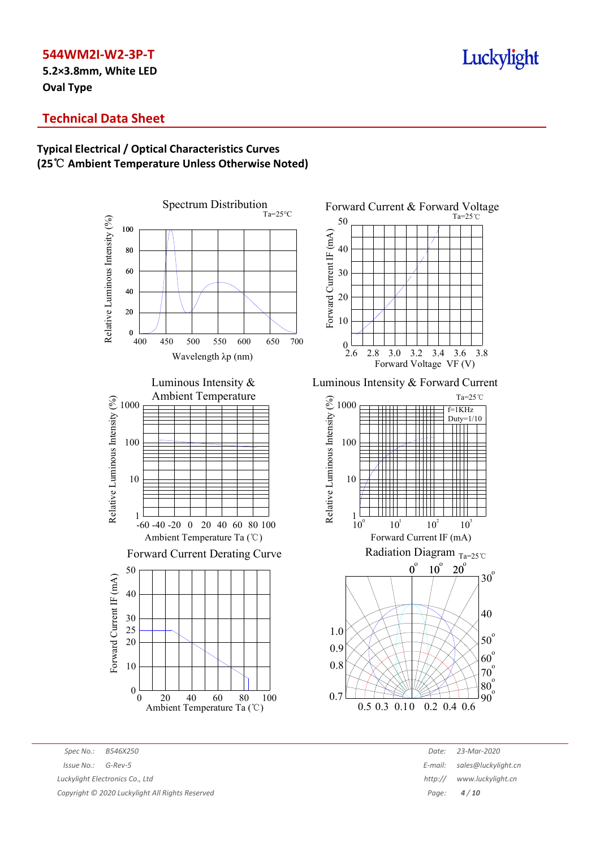**5.2×3.8mm, White LED Oval Type**

# **Technical Data Sheet**

# **Typical Electrical / Optical Characteristics Curves (25**℃ **Ambient Temperature Unless Otherwise Noted)**





-60 -40 -20 0 20 40 60 80 100 Ambient Temperature Ta (℃)

# Forward Current Derating Curve



Ta=25℃ 40 50

Forward Current & Forward Voltage



Luminous Intensity & Forward Current



*Spec No.: B546X250 Date: 23-Mar-2020 Copyright © 2020 Luckylight All Rights Reserved Page: 4 / 10*

*Issue No.: G-Rev-5 E-mail: sales@luckylight.cn Luckylight Electronics Co., Ltd http:// www.luckylight.cn*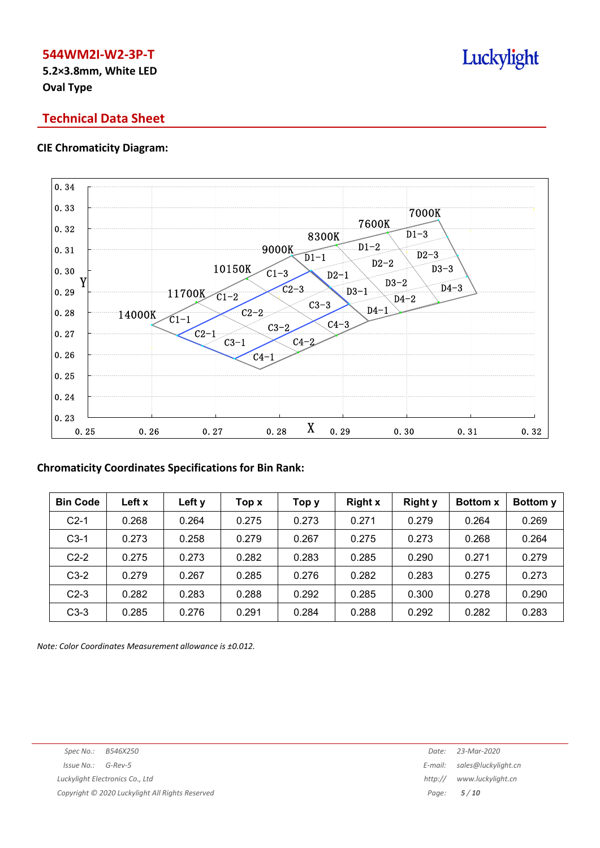**5.2×3.8mm, White LED Oval Type**

# **Technical Data Sheet**

## **CIE Chromaticity Diagram:**



# **Chromaticity Coordinates Specifications for Bin Rank:**

| <b>Bin Code</b> | Left x | Left y | Top x | Тор у | <b>Right x</b> | <b>Right y</b> | <b>Bottom x</b> | <b>Bottomy</b> |
|-----------------|--------|--------|-------|-------|----------------|----------------|-----------------|----------------|
| $C2-1$          | 0.268  | 0.264  | 0.275 | 0.273 | 0.271          | 0.279          | 0.264           | 0.269          |
| $C3-1$          | 0.273  | 0.258  | 0.279 | 0.267 | 0.275          | 0.273          | 0.268           | 0.264          |
| $C2-2$          | 0.275  | 0.273  | 0.282 | 0.283 | 0.285          | 0.290          | 0.271           | 0.279          |
| $C3-2$          | 0.279  | 0.267  | 0.285 | 0.276 | 0.282          | 0.283          | 0.275           | 0.273          |
| $C2-3$          | 0.282  | 0.283  | 0.288 | 0.292 | 0.285          | 0.300          | 0.278           | 0.290          |
| $C3-3$          | 0.285  | 0.276  | 0.291 | 0.284 | 0.288          | 0.292          | 0.282           | 0.283          |

*Note: Color Coordinates Measurement allowance is ±0.012.*

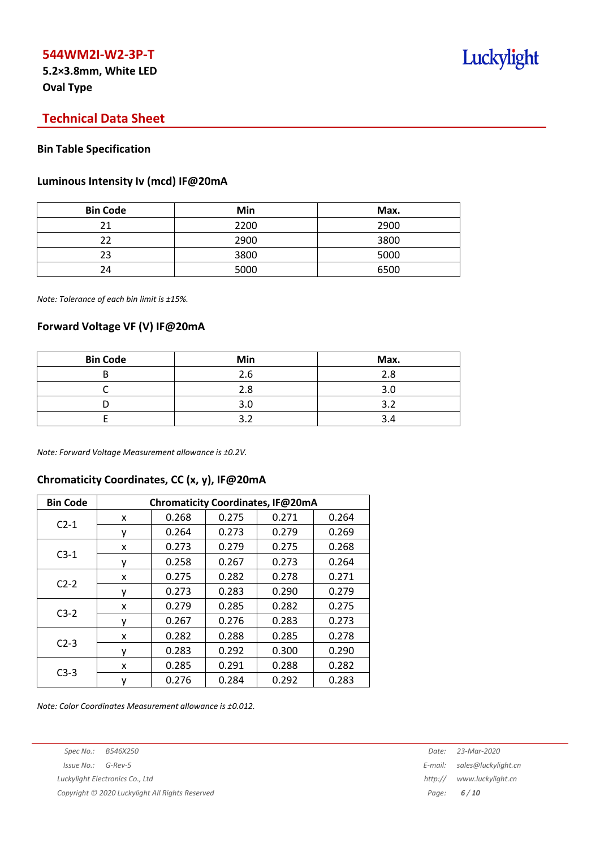**5.2×3.8mm, White LED Oval Type**

# **Technical Data Sheet**

## **Bin Table Specification**

#### **Luminous Intensity Iv (mcd) IF@20mA**

| <b>Bin Code</b> | Min  | Max. |
|-----------------|------|------|
| ว 1             | 2200 | 2900 |
| つつ              | 2900 | 3800 |
| 23              | 3800 | 5000 |
| 24              | 5000 | 6500 |

*Note: Tolerance of each bin limit is ±15%.*

## **Forward Voltage VF (V) IF@20mA**

| <b>Bin Code</b> | Min | Max. |
|-----------------|-----|------|
| D               | 2.6 | 2.8  |
|                 | 2.8 | 3.0  |
|                 | 3.C |      |
|                 |     |      |

*Note: Forward Voltage Measurement allowance is ±0.2V.*

# **Chromaticity Coordinates, CC (x, y), IF@20mA**

| <b>Bin Code</b> | Chromaticity Coordinates, IF@20mA |       |       |       |       |  |  |
|-----------------|-----------------------------------|-------|-------|-------|-------|--|--|
|                 | x                                 | 0.268 | 0.275 | 0.271 | 0.264 |  |  |
| $C2-1$          | ν                                 | 0.264 | 0.273 | 0.279 | 0.269 |  |  |
| $C3-1$          | x                                 | 0.273 | 0.279 | 0.275 | 0.268 |  |  |
|                 | ٧                                 | 0.258 | 0.267 | 0.273 | 0.264 |  |  |
|                 | x                                 | 0.275 | 0.282 | 0.278 | 0.271 |  |  |
| $C2-2$          | ٧                                 | 0.273 | 0.283 | 0.290 | 0.279 |  |  |
|                 | x                                 | 0.279 | 0.285 | 0.282 | 0.275 |  |  |
| $C3-2$          | ٧                                 | 0.267 | 0.276 | 0.283 | 0.273 |  |  |
|                 | x                                 | 0.282 | 0.288 | 0.285 | 0.278 |  |  |
| $C2-3$          |                                   | 0.283 | 0.292 | 0.300 | 0.290 |  |  |
| $C3-3$          | x                                 | 0.285 | 0.291 | 0.288 | 0.282 |  |  |
|                 | у                                 | 0.276 | 0.284 | 0.292 | 0.283 |  |  |

*Note: Color Coordinates Measurement allowance is ±0.012.*

*Copyright © 2020 Luckylight All Rights Reserved Page: 6 / 10*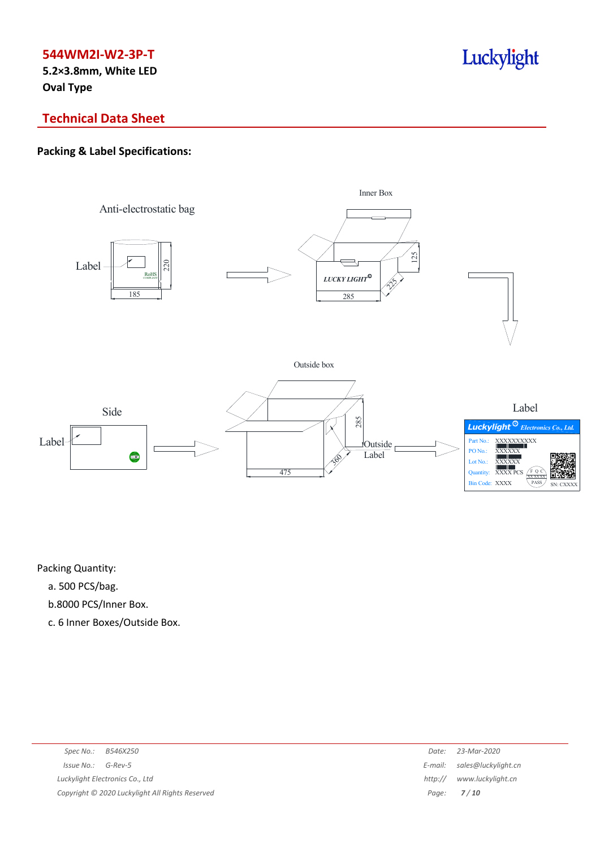**5.2×3.8mm, White LED Oval Type**

# Luckylight

# **Technical Data Sheet**

# **Packing & Label Specifications:**



Packing Quantity:

- a. 500 PCS/bag.
- b.8000 PCS/Inner Box.
- c. 6 Inner Boxes/Outside Box.

| Spec No.: B546X250                              | Date:   | 23-Mar-2020                 |
|-------------------------------------------------|---------|-----------------------------|
| $Is sue No.:  G-Rev-5$                          |         | E-mail: sales@luckylight.cn |
| Luckylight Electronics Co., Ltd                 | http:// | www.luckylight.cn           |
| Copyright © 2020 Luckylight All Rights Reserved |         | Page: $7/10$                |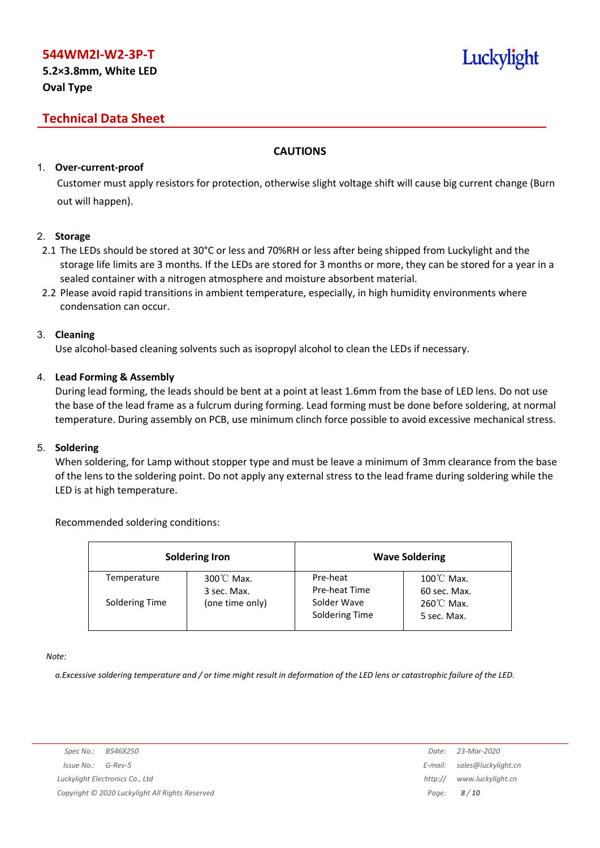**5.2×3.8mm, White LED Oval Type**

# Luckylight

# **Technical Data Sheet**

# **CAUTIONS**

# 1. **Over-current-proof**

Customer must apply resistors for protection, otherwise slight voltage shift will cause big current change (Burn out will happen).

## 2. **Storage**

- 2.1 The LEDs should be stored at 30°C or less and 70%RH or less after being shipped from Luckylight and the storage life limits are 3 months. If the LEDs are stored for 3 months or more, they can be stored for a year in a sealed container with a nitrogen atmosphere and moisture absorbent material.
- 2.2 Please avoid rapid transitions in ambient temperature, especially, in high humidity environments where condensation can occur.

## 3. **Cleaning**

Use alcohol-based cleaning solvents such as isopropyl alcohol to clean the LEDs if necessary.

# 4. **Lead Forming & Assembly**

During lead forming, the leads should be bent at a point at least 1.6mm from the base of LED lens. Do not use the base of the lead frame as a fulcrum during forming. Lead forming must be done before soldering, at normal temperature. During assembly on PCB, use minimum clinch force possible to avoid excessive mechanical stress.

## 5. **Soldering**

When soldering, for Lamp without stopper type and must be leave a minimum of 3mm clearance from the base of the lens to the soldering point. Do not apply any external stress to the lead frame during soldering while the LED is at high temperature.

# Recommended soldering conditions:

|                | <b>Soldering Iron</b>               |                               | <b>Wave Soldering</b>                |
|----------------|-------------------------------------|-------------------------------|--------------------------------------|
| Temperature    | $300^{\circ}$ C Max.<br>3 sec. Max. | Pre-heat<br>Pre-heat Time     | $100^{\circ}$ C Max.<br>60 sec. Max. |
| Soldering Time | (one time only)                     | Solder Wave<br>Soldering Time | 260℃ Max.<br>5 sec. Max.             |

*Note:*

a. Excessive soldering temperature and / or time might result in deformation of the LED lens or catastrophic failure of the LED.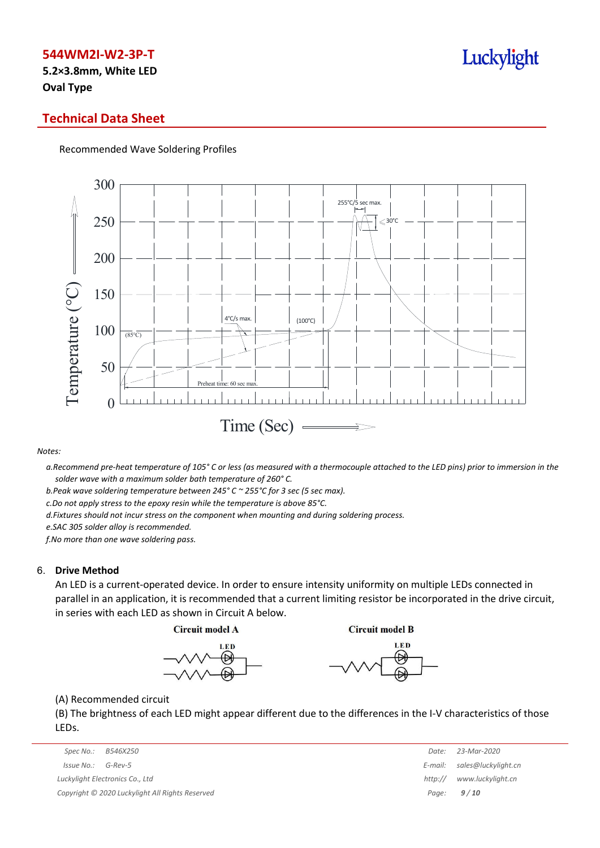**5.2×3.8mm, White LED Oval Type**

# **Technical Data Sheet**

Recommended Wave Soldering Profiles



*Notes:*

a. Recommend pre-heat temperature of 105° C or less (as measured with a thermocouple attached to the LED pins) prior to immersion in the *solder wave with a maximum solder bath temperature of 260° C.*

*b.Peak wave soldering temperature between 245° C ~ 255°C for 3 sec (5 sec max).*

*c.Do not apply stress to the epoxy resin while the temperature is above 85°C.*

*d.Fixtures should not incur stress on the component when mounting and during soldering process.*

*e.SAC 305 solder alloy is recommended.*

*f.No more than one wave soldering pass.*

#### 6. **Drive Method**

An LED is a current-operated device. In order to ensure intensity uniformity on multiple LEDs connected in parallel in an application, it is recommended that a current limiting resistor be incorporated in the drive circuit, in series with each LED as shown in Circuit A below.

**Circuit model A** 

**Circuit model B** 





(A) Recommended circuit

(B) The brightness of each LED might appear different due to the differences in the I-V characteristics of those LEDs.

| Spec No.:<br>B546X250                           | Date:   | 23-Mar-2020                 |
|-------------------------------------------------|---------|-----------------------------|
| Issue No.:<br>G-Rev-5                           |         | E-mail: sales@luckylight.cn |
| Luckylight Electronics Co., Ltd                 | http:// | www.luckylight.cn           |
| Copyright © 2020 Luckylight All Rights Reserved |         | Page: $9/10$                |

| Date:   | 23-Mar-2020         |
|---------|---------------------|
| E-mail: | sales@luckylight.cn |
| http:// | www.luckylight.cn   |
| Page:   | 9/10                |